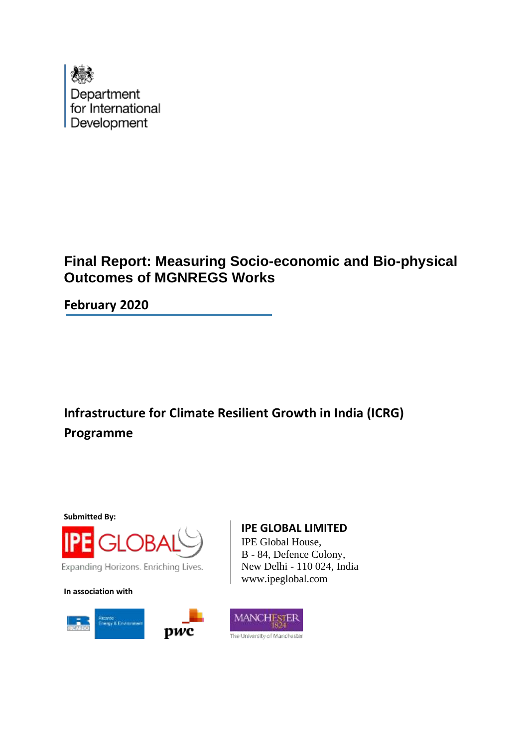

# **Final Report: Measuring Socio-economic and Bio-physical Outcomes of MGNREGS Works**

**February 2020**

**Infrastructure for Climate Resilient Growth in India (ICRG) Programme**

**Submitted By:**



Expanding Horizons. Enriching Lives.

**In association with**



**IPE GLOBAL LIMITED**

IPE Global House, B - 84, Defence Colony, New Delhi - 110 024, India www.ipeglobal.com

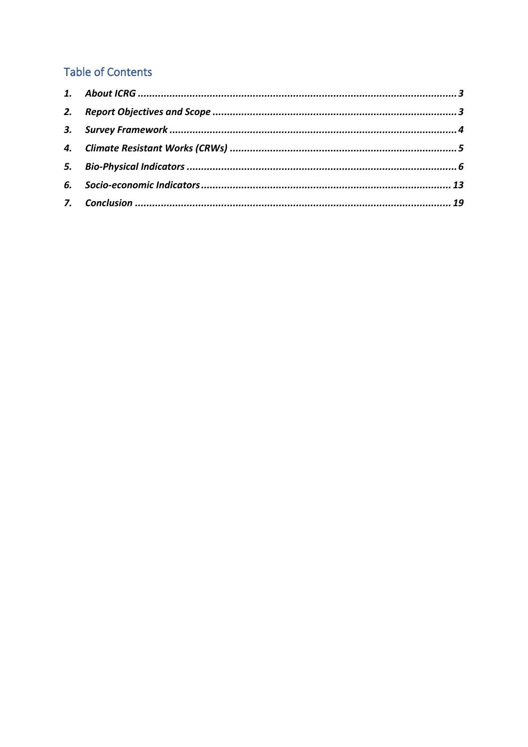### **Table of Contents**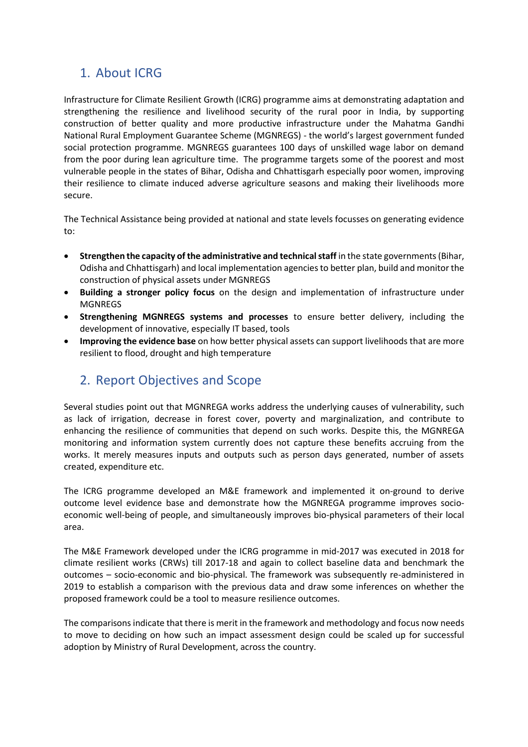### <span id="page-2-0"></span>1. About ICRG

Infrastructure for Climate Resilient Growth (ICRG) programme aims at demonstrating adaptation and strengthening the resilience and livelihood security of the rural poor in India, by supporting construction of better quality and more productive infrastructure under the Mahatma Gandhi National Rural Employment Guarantee Scheme (MGNREGS) - the world's largest government funded social protection programme. MGNREGS guarantees 100 days of unskilled wage labor on demand from the poor during lean agriculture time. The programme targets some of the poorest and most vulnerable people in the states of Bihar, Odisha and Chhattisgarh especially poor women, improving their resilience to climate induced adverse agriculture seasons and making their livelihoods more secure.

The Technical Assistance being provided at national and state levels focusses on generating evidence to:

- **Strengthen the capacity of the administrative and technical staff** in the state governments (Bihar, Odisha and Chhattisgarh) and local implementation agencies to better plan, build and monitor the construction of physical assets under MGNREGS
- **Building a stronger policy focus** on the design and implementation of infrastructure under MGNREGS
- **Strengthening MGNREGS systems and processes** to ensure better delivery, including the development of innovative, especially IT based, tools
- **Improving the evidence base** on how better physical assets can support livelihoods that are more resilient to flood, drought and high temperature

### <span id="page-2-1"></span>2. Report Objectives and Scope

Several studies point out that MGNREGA works address the underlying causes of vulnerability, such as lack of irrigation, decrease in forest cover, poverty and marginalization, and contribute to enhancing the resilience of communities that depend on such works. Despite this, the MGNREGA monitoring and information system currently does not capture these benefits accruing from the works. It merely measures inputs and outputs such as person days generated, number of assets created, expenditure etc.

The ICRG programme developed an M&E framework and implemented it on-ground to derive outcome level evidence base and demonstrate how the MGNREGA programme improves socioeconomic well-being of people, and simultaneously improves bio-physical parameters of their local area.

The M&E Framework developed under the ICRG programme in mid-2017 was executed in 2018 for climate resilient works (CRWs) till 2017-18 and again to collect baseline data and benchmark the outcomes – socio-economic and bio-physical. The framework was subsequently re-administered in 2019 to establish a comparison with the previous data and draw some inferences on whether the proposed framework could be a tool to measure resilience outcomes.

The comparisons indicate that there is merit in the framework and methodology and focus now needs to move to deciding on how such an impact assessment design could be scaled up for successful adoption by Ministry of Rural Development, across the country.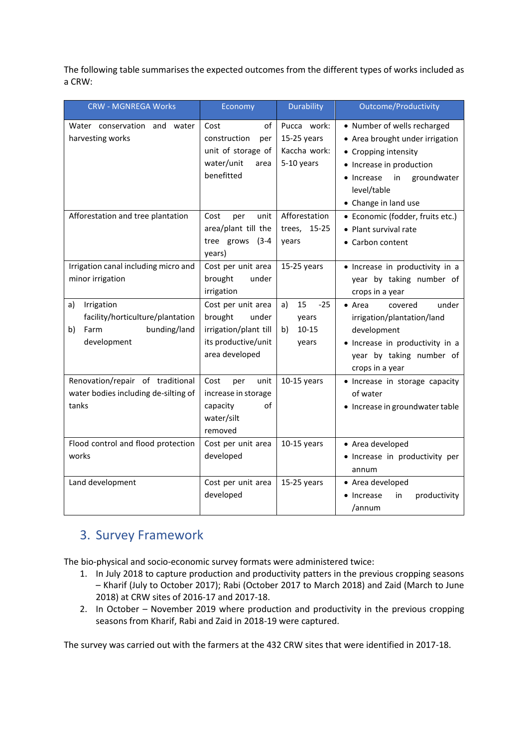The following table summarises the expected outcomes from the different types of works included as a CRW:

| <b>CRW - MGNREGA Works</b>                                                                        | Economy                                                                                                  | Durability                                                 | <b>Outcome/Productivity</b>                                                                                                                                                                  |
|---------------------------------------------------------------------------------------------------|----------------------------------------------------------------------------------------------------------|------------------------------------------------------------|----------------------------------------------------------------------------------------------------------------------------------------------------------------------------------------------|
| Water conservation and<br>water<br>harvesting works                                               | of<br>Cost<br>construction<br>per<br>unit of storage of<br>water/unit<br>area<br>benefitted              | Pucca work:<br>$15-25$ years<br>Kaccha work:<br>5-10 years | • Number of wells recharged<br>• Area brought under irrigation<br>• Cropping intensity<br>• Increase in production<br>• Increase<br>groundwater<br>in<br>level/table<br>• Change in land use |
| Afforestation and tree plantation                                                                 | Cost<br>unit<br>per<br>area/plant till the<br>tree grows (3-4<br>years)                                  | Afforestation<br>trees, 15-25<br>years                     | • Economic (fodder, fruits etc.)<br>• Plant survival rate<br>• Carbon content                                                                                                                |
| Irrigation canal including micro and<br>minor irrigation                                          | Cost per unit area<br>brought<br>under<br>irrigation                                                     | $15-25$ years                                              | · Increase in productivity in a<br>year by taking number of<br>crops in a year                                                                                                               |
| Irrigation<br>a)<br>facility/horticulture/plantation<br>bunding/land<br>b)<br>Farm<br>development | Cost per unit area<br>brought<br>under<br>irrigation/plant till<br>its productive/unit<br>area developed | 15<br>$-25$<br>a)<br>years<br>$10 - 15$<br>b)<br>years     | under<br>$\bullet$ Area<br>covered<br>irrigation/plantation/land<br>development<br>• Increase in productivity in a<br>year by taking number of<br>crops in a year                            |
| Renovation/repair of traditional<br>water bodies including de-silting of<br>tanks                 | Cost<br>per<br>unit<br>increase in storage<br>capacity<br>of<br>water/silt<br>removed                    | $10-15$ years                                              | · Increase in storage capacity<br>of water<br>• Increase in groundwater table                                                                                                                |
| Flood control and flood protection<br>works                                                       | Cost per unit area<br>developed                                                                          | $10-15$ years                                              | • Area developed<br>· Increase in productivity per<br>annum                                                                                                                                  |
| Land development                                                                                  | Cost per unit area<br>developed                                                                          | $15-25$ years                                              | • Area developed<br>productivity<br>• Increase<br>in<br>/annum                                                                                                                               |

### <span id="page-3-0"></span>3. Survey Framework

The bio-physical and socio-economic survey formats were administered twice:

- 1. In July 2018 to capture production and productivity patters in the previous cropping seasons – Kharif (July to October 2017); Rabi (October 2017 to March 2018) and Zaid (March to June 2018) at CRW sites of 2016-17 and 2017-18.
- 2. In October November 2019 where production and productivity in the previous cropping seasons from Kharif, Rabi and Zaid in 2018-19 were captured.

The survey was carried out with the farmers at the 432 CRW sites that were identified in 2017-18.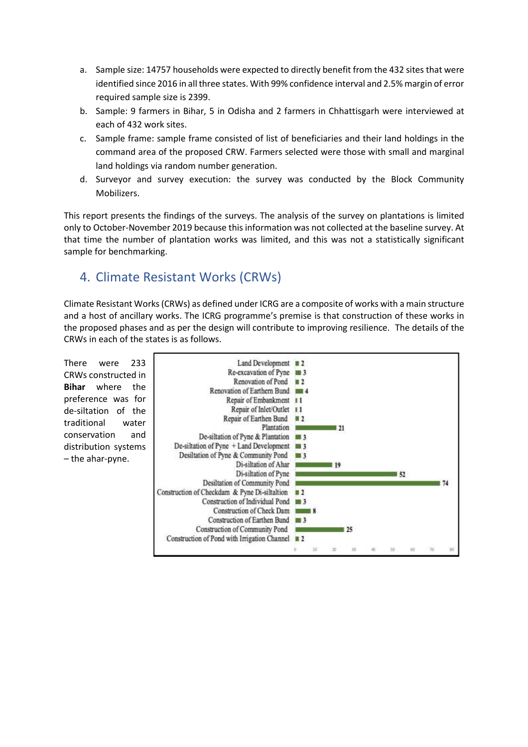- a. Sample size: 14757 households were expected to directly benefit from the 432 sites that were identified since 2016 in all three states. With 99% confidence interval and 2.5% margin of error required sample size is 2399.
- b. Sample: 9 farmers in Bihar, 5 in Odisha and 2 farmers in Chhattisgarh were interviewed at each of 432 work sites.
- c. Sample frame: sample frame consisted of list of beneficiaries and their land holdings in the command area of the proposed CRW. Farmers selected were those with small and marginal land holdings via random number generation.
- d. Surveyor and survey execution: the survey was conducted by the Block Community Mobilizers.

This report presents the findings of the surveys. The analysis of the survey on plantations is limited only to October-November 2019 because this information was not collected at the baseline survey. At that time the number of plantation works was limited, and this was not a statistically significant sample for benchmarking.

### <span id="page-4-0"></span>4. Climate Resistant Works (CRWs)

Climate Resistant Works (CRWs) as defined under ICRG are a composite of works with a main structure and a host of ancillary works. The ICRG programme's premise is that construction of these works in the proposed phases and as per the design will contribute to improving resilience. The details of the CRWs in each of the states is as follows.

There were 233 Land Development  $\blacksquare$  2 Re-excavation of Pyne  $\blacksquare$  3 CRWs constructed in Renovation of Pond  $\blacksquare$  2 **Bihar** where the Renovation of Earthern Bund 1 4 preference was for Repair of Embankment 11 Repair of Inlet/Outlet 11 de-siltation of the Repair of Earthen Bund  $\blacksquare$ traditional water Plantation **n** - 21 conservation and De-siltation of Pyne & Plantation # 3 distribution systems De-siltation of Pyne  $+$  Land Development  $\blacksquare$  3 Desiltation of Pyne & Community Pond 图 3 – the ahar-pyne.Di-siltation of Ahar  $19$ Di-siltation of Pyne  $152$ Desiltation of Community Pond 74 Construction of Checkdam & Pyne Di-siltaltion  $\blacksquare$ Construction of Individual Pond # 3 Construction of Check Dam 8 Construction of Earthen Bund 13 Construction of Community Pond  $125$ Construction of Pond with Irrigation Channel  $\blacksquare$  2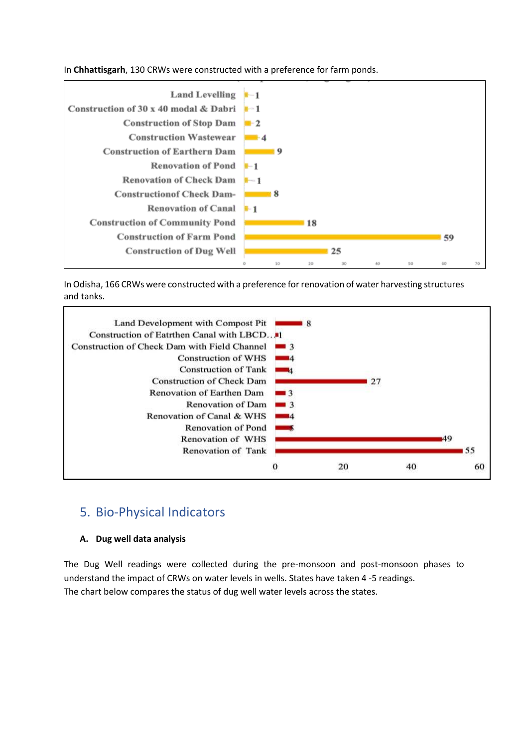In **Chhattisgarh**, 130 CRWs were constructed with a preference for farm ponds.



In Odisha, 166 CRWs were constructed with a preference for renovation of water harvesting structures and tanks.



### <span id="page-5-0"></span>5. Bio-Physical Indicators

#### **A. Dug well data analysis**

The Dug Well readings were collected during the pre-monsoon and post-monsoon phases to understand the impact of CRWs on water levels in wells. States have taken 4 -5 readings. The chart below compares the status of dug well water levels across the states.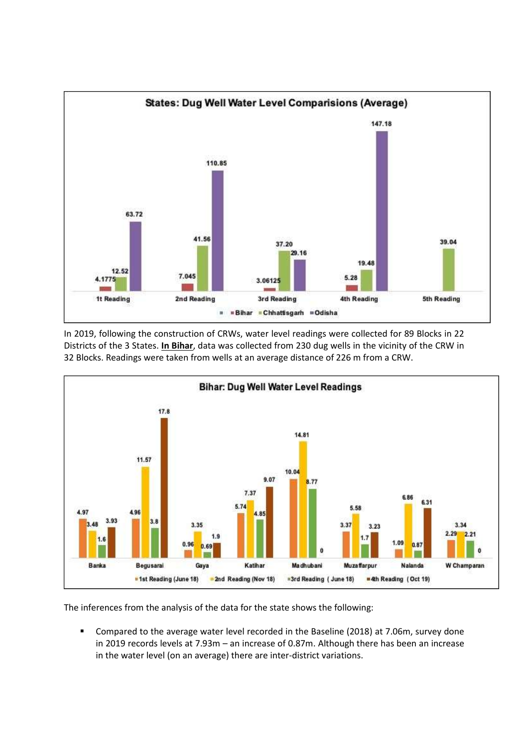

In 2019, following the construction of CRWs, water level readings were collected for 89 Blocks in 22 Districts of the 3 States. **In Bihar**, data was collected from 230 dug wells in the vicinity of the CRW in 32 Blocks. Readings were taken from wells at an average distance of 226 m from a CRW.



The inferences from the analysis of the data for the state shows the following:

■ Compared to the average water level recorded in the Baseline (2018) at 7.06m, survey done in 2019 records levels at 7.93m – an increase of 0.87m. Although there has been an increase in the water level (on an average) there are inter-district variations.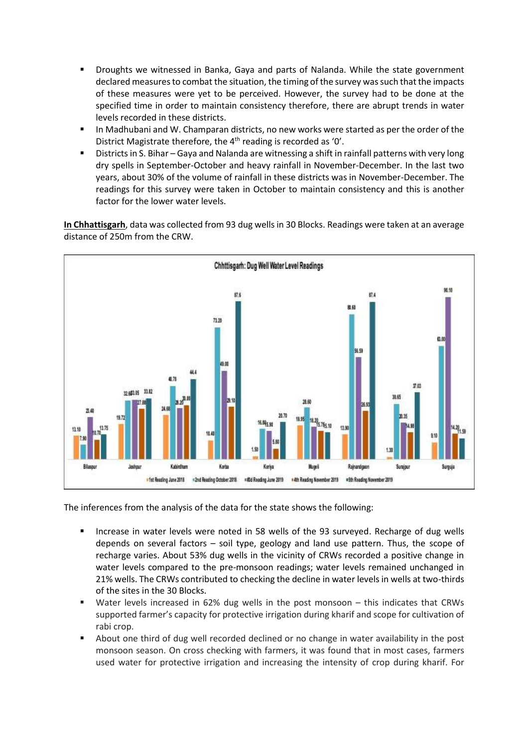- Droughts we witnessed in Banka, Gaya and parts of Nalanda. While the state government declared measures to combat the situation, the timing of the survey was such that the impacts of these measures were yet to be perceived. However, the survey had to be done at the specified time in order to maintain consistency therefore, there are abrupt trends in water levels recorded in these districts.
- **■** In Madhubani and W. Champaran districts, no new works were started as per the order of the District Magistrate therefore, the 4<sup>th</sup> reading is recorded as '0'.
- Districts in S. Bihar Gaya and Nalanda are witnessing a shift in rainfall patterns with very long dry spells in September-October and heavy rainfall in November-December. In the last two years, about 30% of the volume of rainfall in these districts was in November-December. The readings for this survey were taken in October to maintain consistency and this is another factor for the lower water levels.

**In Chhattisgarh**, data was collected from 93 dug wells in 30 Blocks. Readings were taken at an average distance of 250m from the CRW.



The inferences from the analysis of the data for the state shows the following:

- Increase in water levels were noted in 58 wells of the 93 surveyed. Recharge of dug wells depends on several factors – soil type, geology and land use pattern. Thus, the scope of recharge varies. About 53% dug wells in the vicinity of CRWs recorded a positive change in water levels compared to the pre-monsoon readings; water levels remained unchanged in 21% wells. The CRWs contributed to checking the decline in water levels in wells at two-thirds of the sites in the 30 Blocks.
- Water levels increased in 62% dug wells in the post monsoon this indicates that CRWs supported farmer's capacity for protective irrigation during kharif and scope for cultivation of rabi crop.
- About one third of dug well recorded declined or no change in water availability in the post monsoon season. On cross checking with farmers, it was found that in most cases, farmers used water for protective irrigation and increasing the intensity of crop during kharif. For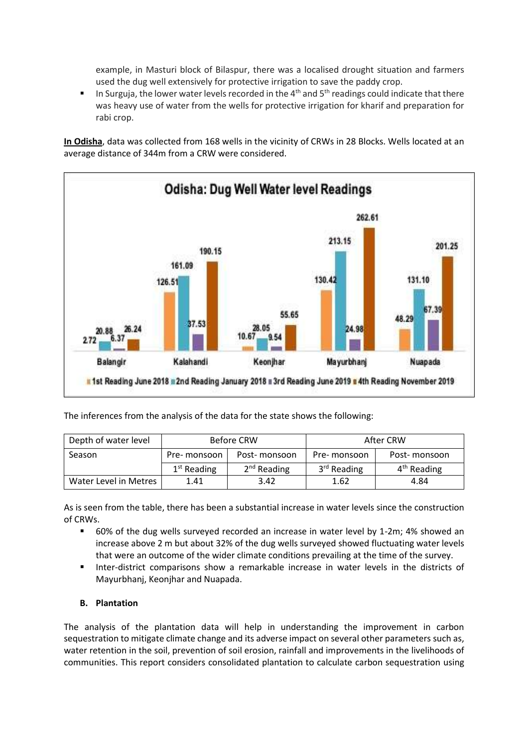example, in Masturi block of Bilaspur, there was a localised drought situation and farmers used the dug well extensively for protective irrigation to save the paddy crop.

**■** In Surguja, the lower water levels recorded in the  $4<sup>th</sup>$  and  $5<sup>th</sup>$  readings could indicate that there was heavy use of water from the wells for protective irrigation for kharif and preparation for rabi crop.

**In Odisha**, data was collected from 168 wells in the vicinity of CRWs in 28 Blocks. Wells located at an average distance of 344m from a CRW were considered.



The inferences from the analysis of the data for the state shows the following:

| Depth of water level  |               | Before CRW    | After CRW     |               |  |
|-----------------------|---------------|---------------|---------------|---------------|--|
| Season                | Pre- monsoon  | Post-monsoon  | Pre-monsoon   | Post-monsoon  |  |
|                       | $1st$ Reading | $2nd$ Reading | $3rd$ Reading | $4th$ Reading |  |
| Water Level in Metres | 1.41          | 3.42          | 1.62          | 4.84          |  |

As is seen from the table, there has been a substantial increase in water levels since the construction of CRWs.

- 60% of the dug wells surveyed recorded an increase in water level by 1-2m; 4% showed an increase above 2 m but about 32% of the dug wells surveyed showed fluctuating water levels that were an outcome of the wider climate conditions prevailing at the time of the survey.
- **■** Inter-district comparisons show a remarkable increase in water levels in the districts of Mayurbhanj, Keonjhar and Nuapada.

#### **B. Plantation**

The analysis of the plantation data will help in understanding the improvement in carbon sequestration to mitigate climate change and its adverse impact on several other parameters such as, water retention in the soil, prevention of soil erosion, rainfall and improvements in the livelihoods of communities. This report considers consolidated plantation to calculate carbon sequestration using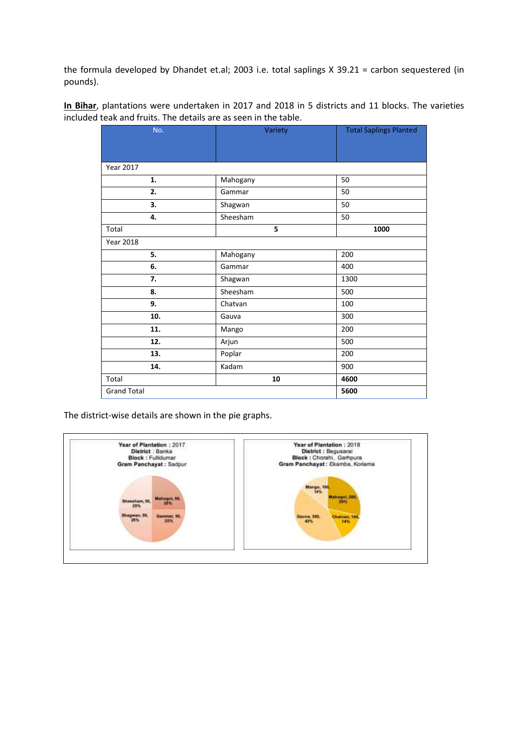the formula developed by Dhandet et.al; 2003 i.e. total saplings X 39.21 = carbon sequestered (in pounds).

**In Bihar**, plantations were undertaken in 2017 and 2018 in 5 districts and 11 blocks. The varieties included teak and fruits. The details are as seen in the table.

| No.                | Variety  | <b>Total Saplings Planted</b> |
|--------------------|----------|-------------------------------|
|                    |          |                               |
|                    |          |                               |
| Year 2017          |          |                               |
| 1.                 | Mahogany | 50                            |
| 2.                 | Gammar   | 50                            |
| 3.                 | Shagwan  | 50                            |
| 4.                 | Sheesham | 50                            |
| Total              | 5        | 1000                          |
| <b>Year 2018</b>   |          |                               |
| 5.                 | Mahogany | 200                           |
| 6.                 | Gammar   | 400                           |
| 7.                 | Shagwan  | 1300                          |
| 8.                 | Sheesham | 500                           |
| 9.                 | Chatvan  | 100                           |
| 10.                | Gauva    | 300                           |
| 11.                | Mango    | 200                           |
| 12.                | Arjun    | 500                           |
| 13.                | Poplar   | 200                           |
| 14.                | Kadam    | 900                           |
| Total              | 10       | 4600                          |
| <b>Grand Total</b> |          | 5600                          |

The district-wise details are shown in the pie graphs.

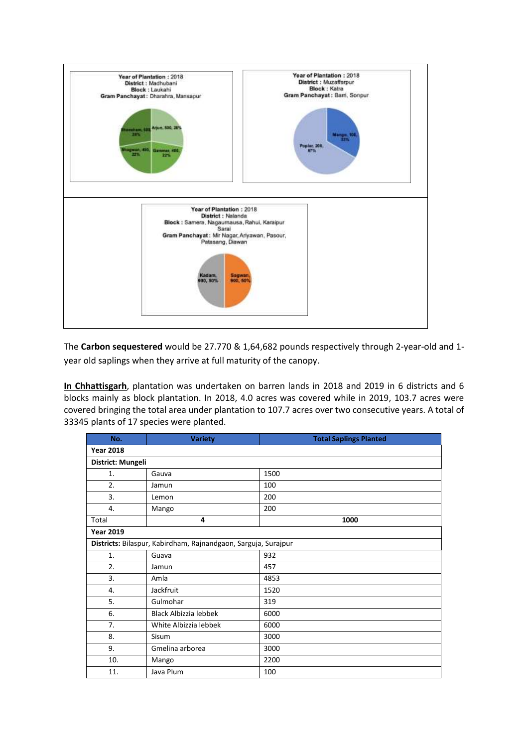

The **Carbon sequestered** would be 27.770 & 1,64,682 pounds respectively through 2-year-old and 1 year old saplings when they arrive at full maturity of the canopy.

**In Chhattisgarh**, plantation was undertaken on barren lands in 2018 and 2019 in 6 districts and 6 blocks mainly as block plantation. In 2018, 4.0 acres was covered while in 2019, 103.7 acres were covered bringing the total area under plantation to 107.7 acres over two consecutive years. A total of 33345 plants of 17 species were planted.

| No.               | <b>Variety</b>                                                 | <b>Total Saplings Planted</b> |  |  |  |  |
|-------------------|----------------------------------------------------------------|-------------------------------|--|--|--|--|
| <b>Year 2018</b>  |                                                                |                               |  |  |  |  |
| District: Mungeli |                                                                |                               |  |  |  |  |
| 1.                | Gauva                                                          | 1500                          |  |  |  |  |
| 2.                | Jamun                                                          | 100                           |  |  |  |  |
| 3.                | Lemon                                                          | 200                           |  |  |  |  |
| 4.                | Mango                                                          | 200                           |  |  |  |  |
| Total             | 4                                                              | 1000                          |  |  |  |  |
| <b>Year 2019</b>  |                                                                |                               |  |  |  |  |
|                   | Districts: Bilaspur, Kabirdham, Rajnandgaon, Sarguja, Surajpur |                               |  |  |  |  |
| 1.                | Guava                                                          | 932                           |  |  |  |  |
| 2.                | Jamun                                                          | 457                           |  |  |  |  |
| 3.                | Amla                                                           | 4853                          |  |  |  |  |
| 4.                | Jackfruit                                                      | 1520                          |  |  |  |  |
| 5.                | Gulmohar                                                       | 319                           |  |  |  |  |
| 6.                | Black Albizzia lebbek                                          | 6000                          |  |  |  |  |
| 7.                | White Albizzia lebbek                                          | 6000                          |  |  |  |  |
| 8.                | Sisum                                                          | 3000                          |  |  |  |  |
| 9.                | Gmelina arborea                                                | 3000                          |  |  |  |  |
| 10.               | Mango                                                          | 2200                          |  |  |  |  |
| 11.               | Java Plum                                                      | 100                           |  |  |  |  |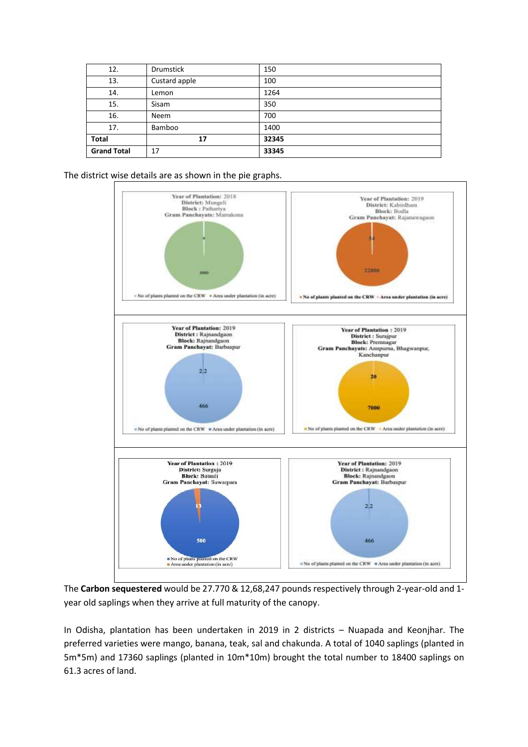| 12.                | Drumstick     | 150   |
|--------------------|---------------|-------|
| 13.                | Custard apple | 100   |
| 14.                | Lemon         | 1264  |
| 15.                | Sisam         | 350   |
| 16.                | <b>Neem</b>   | 700   |
| 17.                | Bamboo        | 1400  |
| Total              | 17            | 32345 |
| <b>Grand Total</b> | 17            | 33345 |

The district wise details are as shown in the pie graphs.



The **Carbon sequestered** would be 27.770 & 12,68,247 pounds respectively through 2-year-old and 1 year old saplings when they arrive at full maturity of the canopy.

In Odisha, plantation has been undertaken in 2019 in 2 districts – Nuapada and Keonjhar. The preferred varieties were mango, banana, teak, sal and chakunda. A total of 1040 saplings (planted in 5m\*5m) and 17360 saplings (planted in 10m\*10m) brought the total number to 18400 saplings on 61.3 acres of land.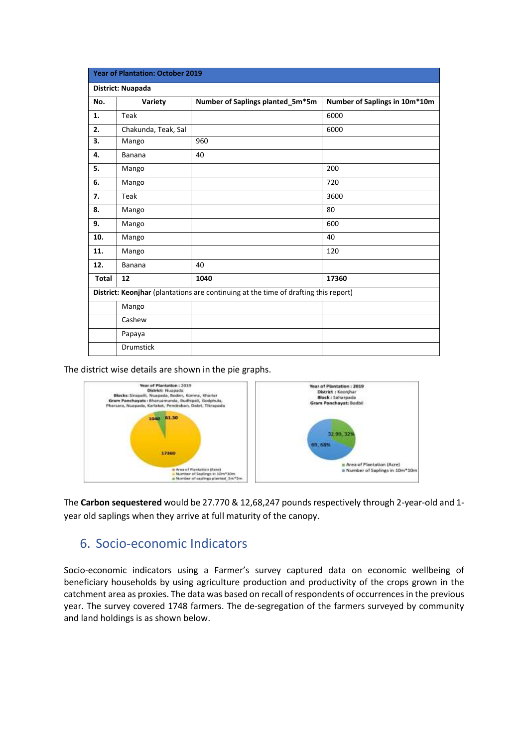| <b>Year of Plantation: October 2019</b> |                     |                                                                                     |                               |  |  |  |  |
|-----------------------------------------|---------------------|-------------------------------------------------------------------------------------|-------------------------------|--|--|--|--|
|                                         | District: Nuapada   |                                                                                     |                               |  |  |  |  |
| No.                                     | Variety             | Number of Saplings planted_5m*5m                                                    | Number of Saplings in 10m*10m |  |  |  |  |
| 1.                                      | Teak                |                                                                                     | 6000                          |  |  |  |  |
| 2.                                      | Chakunda, Teak, Sal |                                                                                     | 6000                          |  |  |  |  |
| 3.                                      | Mango               | 960                                                                                 |                               |  |  |  |  |
| 4.                                      | <b>Banana</b>       | 40                                                                                  |                               |  |  |  |  |
| 5.                                      | Mango               |                                                                                     | 200                           |  |  |  |  |
| 6.                                      | Mango               |                                                                                     | 720                           |  |  |  |  |
| 7.                                      | Teak                |                                                                                     | 3600                          |  |  |  |  |
| 8.                                      | Mango               |                                                                                     | 80                            |  |  |  |  |
| 9.                                      | Mango               |                                                                                     | 600                           |  |  |  |  |
| 10.                                     | Mango               |                                                                                     | 40                            |  |  |  |  |
| 11.                                     | Mango               |                                                                                     | 120                           |  |  |  |  |
| 12.                                     | <b>Banana</b>       | 40                                                                                  |                               |  |  |  |  |
| Total                                   | 12                  | 1040                                                                                | 17360                         |  |  |  |  |
|                                         |                     | District: Keonjhar (plantations are continuing at the time of drafting this report) |                               |  |  |  |  |
|                                         | Mango               |                                                                                     |                               |  |  |  |  |
|                                         | Cashew              |                                                                                     |                               |  |  |  |  |
|                                         | Papaya              |                                                                                     |                               |  |  |  |  |
|                                         | <b>Drumstick</b>    |                                                                                     |                               |  |  |  |  |

The district wise details are shown in the pie graphs.



The **Carbon sequestered** would be 27.770 & 12,68,247 pounds respectively through 2-year-old and 1 year old saplings when they arrive at full maturity of the canopy.

### <span id="page-12-0"></span>6. Socio-economic Indicators

Socio-economic indicators using a Farmer's survey captured data on economic wellbeing of beneficiary households by using agriculture production and productivity of the crops grown in the catchment area as proxies. The data was based on recall of respondents of occurrencesin the previous year. The survey covered 1748 farmers. The de-segregation of the farmers surveyed by community and land holdings is as shown below.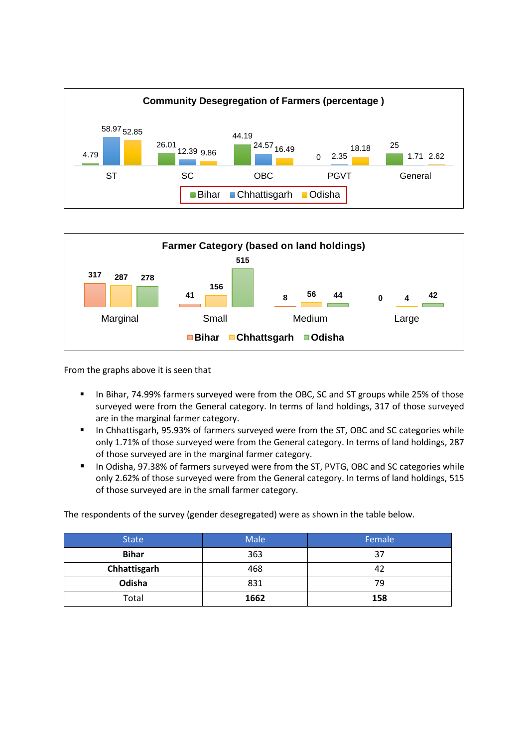



From the graphs above it is seen that

- In Bihar, 74.99% farmers surveyed were from the OBC, SC and ST groups while 25% of those surveyed were from the General category. In terms of land holdings, 317 of those surveyed are in the marginal farmer category.
- In Chhattisgarh, 95.93% of farmers surveyed were from the ST, OBC and SC categories while only 1.71% of those surveyed were from the General category. In terms of land holdings, 287 of those surveyed are in the marginal farmer category.
- In Odisha, 97.38% of farmers surveyed were from the ST, PVTG, OBC and SC categories while only 2.62% of those surveyed were from the General category. In terms of land holdings, 515 of those surveyed are in the small farmer category.

The respondents of the survey (gender desegregated) were as shown in the table below.

| <b>State</b> | Male | Female |
|--------------|------|--------|
| <b>Bihar</b> | 363  | 37     |
| Chhattisgarh | 468  | 42     |
| Odisha       | 831  | 79     |
| Total        | 1662 | 158    |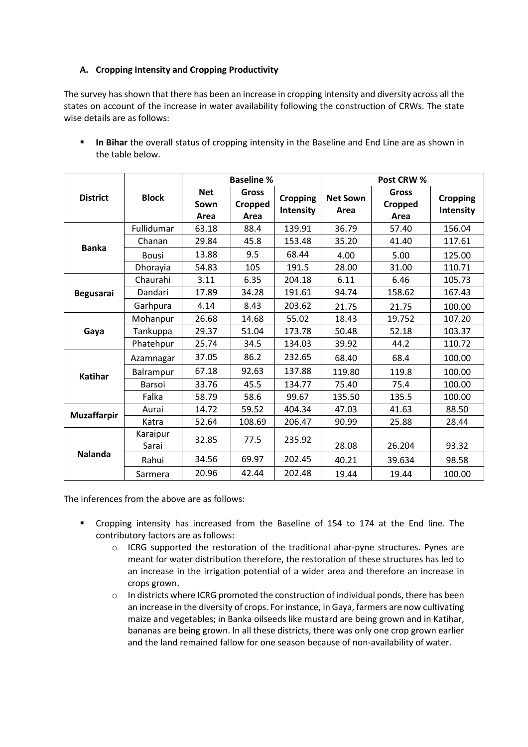#### **A. Cropping Intensity and Cropping Productivity**

The survey has shown that there has been an increase in cropping intensity and diversity across all the states on account of the increase in water availability following the construction of CRWs. The state wise details are as follows:

|                    |                   |                            | <b>Baseline %</b>               |                              | Post CRW %              |                                 |                                     |
|--------------------|-------------------|----------------------------|---------------------------------|------------------------------|-------------------------|---------------------------------|-------------------------------------|
| <b>District</b>    | <b>Block</b>      | <b>Net</b><br>Sown<br>Area | <b>Gross</b><br>Cropped<br>Area | <b>Cropping</b><br>Intensity | <b>Net Sown</b><br>Area | <b>Gross</b><br>Cropped<br>Area | <b>Cropping</b><br><b>Intensity</b> |
|                    | Fullidumar        | 63.18                      | 88.4                            | 139.91                       | 36.79                   | 57.40                           | 156.04                              |
|                    | Chanan            | 29.84                      | 45.8                            | 153.48                       | 35.20                   | 41.40                           | 117.61                              |
| <b>Banka</b>       | <b>Bousi</b>      | 13.88                      | 9.5                             | 68.44                        | 4.00                    | 5.00                            | 125.00                              |
|                    | Dhorayia          | 54.83                      | 105                             | 191.5                        | 28.00                   | 31.00                           | 110.71                              |
|                    | Chaurahi          | 3.11                       | 6.35                            | 204.18                       | 6.11                    | 6.46                            | 105.73                              |
| <b>Begusarai</b>   | Dandari           | 17.89                      | 34.28                           | 191.61                       | 94.74                   | 158.62                          | 167.43                              |
|                    | Garhpura          | 4.14                       | 8.43                            | 203.62                       | 21.75                   | 21.75                           | 100.00                              |
|                    | Mohanpur          | 26.68                      | 14.68                           | 55.02                        | 18.43                   | 19.752                          | 107.20                              |
| Gaya               | Tankuppa          | 29.37                      | 51.04                           | 173.78                       | 50.48                   | 52.18                           | 103.37                              |
|                    | Phatehpur         | 25.74                      | 34.5                            | 134.03                       | 39.92                   | 44.2                            | 110.72                              |
|                    | Azamnagar         | 37.05                      | 86.2                            | 232.65                       | 68.40                   | 68.4                            | 100.00                              |
| <b>Katihar</b>     | Balrampur         | 67.18                      | 92.63                           | 137.88                       | 119.80                  | 119.8                           | 100.00                              |
|                    | Barsoi            | 33.76                      | 45.5                            | 134.77                       | 75.40                   | 75.4                            | 100.00                              |
|                    | Falka             | 58.79                      | 58.6                            | 99.67                        | 135.50                  | 135.5                           | 100.00                              |
|                    | Aurai             | 14.72                      | 59.52                           | 404.34                       | 47.03                   | 41.63                           | 88.50                               |
| <b>Muzaffarpir</b> | Katra             | 52.64                      | 108.69                          | 206.47                       | 90.99                   | 25.88                           | 28.44                               |
|                    | Karaipur<br>Sarai | 32.85                      | 77.5                            | 235.92                       | 28.08                   | 26.204                          | 93.32                               |
| <b>Nalanda</b>     | Rahui             | 34.56                      | 69.97                           | 202.45                       | 40.21                   | 39.634                          | 98.58                               |
|                    | Sarmera           | 20.96                      | 42.44                           | 202.48                       | 19.44                   | 19.44                           | 100.00                              |

**. In Bihar** the overall status of cropping intensity in the Baseline and End Line are as shown in the table below.

The inferences from the above are as follows:

- Cropping intensity has increased from the Baseline of 154 to 174 at the End line. The contributory factors are as follows:
	- $\circ$  ICRG supported the restoration of the traditional ahar-pyne structures. Pynes are meant for water distribution therefore, the restoration of these structures has led to an increase in the irrigation potential of a wider area and therefore an increase in crops grown.
	- $\circ$  In districts where ICRG promoted the construction of individual ponds, there has been an increase in the diversity of crops. For instance, in Gaya, farmers are now cultivating maize and vegetables; in Banka oilseeds like mustard are being grown and in Katihar, bananas are being grown. In all these districts, there was only one crop grown earlier and the land remained fallow for one season because of non-availability of water.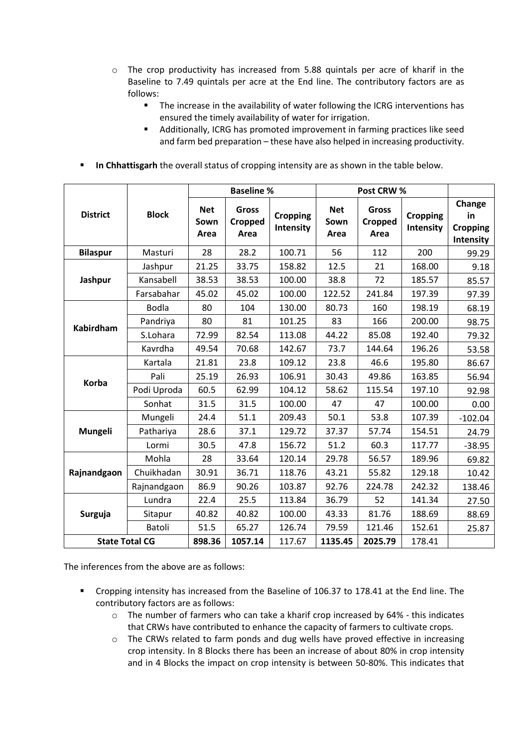- o The crop productivity has increased from 5.88 quintals per acre of kharif in the Baseline to 7.49 quintals per acre at the End line. The contributory factors are as follows:
	- The increase in the availability of water following the ICRG interventions has ensured the timely availability of water for irrigation.
	- Additionally, ICRG has promoted improvement in farming practices like seed and farm bed preparation – these have also helped in increasing productivity.
- **In Chhattisgarh** the overall status of cropping intensity are as shown in the table below.

|                       |              | <b>Baseline %</b>          |                                 |                              | Post CRW %                 |                                 |                              |                                              |
|-----------------------|--------------|----------------------------|---------------------------------|------------------------------|----------------------------|---------------------------------|------------------------------|----------------------------------------------|
| <b>District</b>       | <b>Block</b> | <b>Net</b><br>Sown<br>Area | <b>Gross</b><br>Cropped<br>Area | <b>Cropping</b><br>Intensity | <b>Net</b><br>Sown<br>Area | <b>Gross</b><br>Cropped<br>Area | <b>Cropping</b><br>Intensity | Change<br>in<br><b>Cropping</b><br>Intensity |
| <b>Bilaspur</b>       | Masturi      | 28                         | 28.2                            | 100.71                       | 56                         | 112                             | 200                          | 99.29                                        |
|                       | Jashpur      | 21.25                      | 33.75                           | 158.82                       | 12.5                       | 21                              | 168.00                       | 9.18                                         |
| Jashpur               | Kansabell    | 38.53                      | 38.53                           | 100.00                       | 38.8                       | 72                              | 185.57                       | 85.57                                        |
|                       | Farsabahar   | 45.02                      | 45.02                           | 100.00                       | 122.52                     | 241.84                          | 197.39                       | 97.39                                        |
|                       | <b>Bodla</b> | 80                         | 104                             | 130.00                       | 80.73                      | 160                             | 198.19                       | 68.19                                        |
| <b>Kabirdham</b>      | Pandriya     | 80                         | 81                              | 101.25                       | 83                         | 166                             | 200.00                       | 98.75                                        |
|                       | S.Lohara     | 72.99                      | 82.54                           | 113.08                       | 44.22                      | 85.08                           | 192.40                       | 79.32                                        |
|                       | Kavrdha      | 49.54                      | 70.68                           | 142.67                       | 73.7                       | 144.64                          | 196.26                       | 53.58                                        |
|                       | Kartala      | 21.81                      | 23.8                            | 109.12                       | 23.8                       | 46.6                            | 195.80                       | 86.67                                        |
| Korba                 | Pali         | 25.19                      | 26.93                           | 106.91                       | 30.43                      | 49.86                           | 163.85                       | 56.94                                        |
|                       | Podi Uproda  | 60.5                       | 62.99                           | 104.12                       | 58.62                      | 115.54                          | 197.10                       | 92.98                                        |
|                       | Sonhat       | 31.5                       | 31.5                            | 100.00                       | 47                         | 47                              | 100.00                       | 0.00                                         |
|                       | Mungeli      | 24.4                       | 51.1                            | 209.43                       | 50.1                       | 53.8                            | 107.39                       | $-102.04$                                    |
| Mungeli               | Pathariya    | 28.6                       | 37.1                            | 129.72                       | 37.37                      | 57.74                           | 154.51                       | 24.79                                        |
|                       | Lormi        | 30.5                       | 47.8                            | 156.72                       | 51.2                       | 60.3                            | 117.77                       | $-38.95$                                     |
|                       | Mohla        | 28                         | 33.64                           | 120.14                       | 29.78                      | 56.57                           | 189.96                       | 69.82                                        |
| Rajnandgaon           | Chuikhadan   | 30.91                      | 36.71                           | 118.76                       | 43.21                      | 55.82                           | 129.18                       | 10.42                                        |
|                       | Rajnandgaon  | 86.9                       | 90.26                           | 103.87                       | 92.76                      | 224.78                          | 242.32                       | 138.46                                       |
|                       | Lundra       | 22.4                       | 25.5                            | 113.84                       | 36.79                      | 52                              | 141.34                       | 27.50                                        |
| Surguja               | Sitapur      | 40.82                      | 40.82                           | 100.00                       | 43.33                      | 81.76                           | 188.69                       | 88.69                                        |
|                       | Batoli       | 51.5                       | 65.27                           | 126.74                       | 79.59                      | 121.46                          | 152.61                       | 25.87                                        |
| <b>State Total CG</b> |              | 898.36                     | 1057.14                         | 117.67                       | 1135.45                    | 2025.79                         | 178.41                       |                                              |

The inferences from the above are as follows:

- Cropping intensity has increased from the Baseline of 106.37 to 178.41 at the End line. The contributory factors are as follows:
	- $\circ$  The number of farmers who can take a kharif crop increased by 64% this indicates that CRWs have contributed to enhance the capacity of farmers to cultivate crops.
	- o The CRWs related to farm ponds and dug wells have proved effective in increasing crop intensity. In 8 Blocks there has been an increase of about 80% in crop intensity and in 4 Blocks the impact on crop intensity is between 50-80%. This indicates that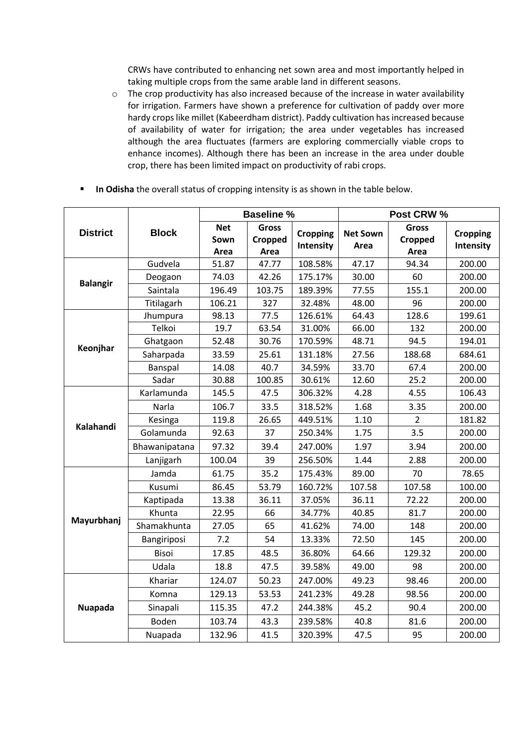CRWs have contributed to enhancing net sown area and most importantly helped in taking multiple crops from the same arable land in different seasons.

- o The crop productivity has also increased because of the increase in water availability for irrigation. Farmers have shown a preference for cultivation of paddy over more hardy crops like millet (Kabeerdham district). Paddy cultivation has increased because of availability of water for irrigation; the area under vegetables has increased although the area fluctuates (farmers are exploring commercially viable crops to enhance incomes). Although there has been an increase in the area under double crop, there has been limited impact on productivity of rabi crops.
- **In Odisha** the overall status of cropping intensity is as shown in the table below.

|                 |               |                            | <b>Baseline %</b>               |                              | Post CRW %              |                                 |                              |  |
|-----------------|---------------|----------------------------|---------------------------------|------------------------------|-------------------------|---------------------------------|------------------------------|--|
| <b>District</b> | <b>Block</b>  | <b>Net</b><br>Sown<br>Area | <b>Gross</b><br>Cropped<br>Area | <b>Cropping</b><br>Intensity | <b>Net Sown</b><br>Area | <b>Gross</b><br>Cropped<br>Area | <b>Cropping</b><br>Intensity |  |
|                 | Gudvela       | 51.87                      | 47.77                           | 108.58%                      | 47.17                   | 94.34                           | 200.00                       |  |
| <b>Balangir</b> | Deogaon       | 74.03                      | 42.26                           | 175.17%                      | 30.00                   | 60                              | 200.00                       |  |
|                 | Saintala      | 196.49                     | 103.75                          | 189.39%                      | 77.55                   | 155.1                           | 200.00                       |  |
|                 | Titilagarh    | 106.21                     | 327                             | 32.48%                       | 48.00                   | 96                              | 200.00                       |  |
|                 | Jhumpura      | 98.13                      | 77.5                            | 126.61%                      | 64.43                   | 128.6                           | 199.61                       |  |
|                 | Telkoi        | 19.7                       | 63.54                           | 31.00%                       | 66.00                   | 132                             | 200.00                       |  |
| Keonjhar        | Ghatgaon      | 52.48                      | 30.76                           | 170.59%                      | 48.71                   | 94.5                            | 194.01                       |  |
|                 | Saharpada     | 33.59                      | 25.61                           | 131.18%                      | 27.56                   | 188.68                          | 684.61                       |  |
|                 | Banspal       | 14.08                      | 40.7                            | 34.59%                       | 33.70                   | 67.4                            | 200.00                       |  |
|                 | Sadar         | 30.88                      | 100.85                          | 30.61%                       | 12.60                   | 25.2                            | 200.00                       |  |
|                 | Karlamunda    | 145.5                      | 47.5                            | 306.32%                      | 4.28                    | 4.55                            | 106.43                       |  |
|                 | Narla         | 106.7                      | 33.5                            | 318.52%                      | 1.68                    | 3.35                            | 200.00                       |  |
| Kalahandi       | Kesinga       | 119.8                      | 26.65                           | 449.51%                      | 1.10                    | $\overline{2}$                  | 181.82                       |  |
|                 | Golamunda     | 92.63                      | 37                              | 250.34%                      | 1.75                    | 3.5                             | 200.00                       |  |
|                 | Bhawanipatana | 97.32                      | 39.4                            | 247.00%                      | 1.97                    | 3.94                            | 200.00                       |  |
|                 | Lanjigarh     | 100.04                     | 39                              | 256.50%                      | 1.44                    | 2.88                            | 200.00                       |  |
|                 | Jamda         | 61.75                      | 35.2                            | 175.43%                      | 89.00                   | 70                              | 78.65                        |  |
|                 | Kusumi        | 86.45                      | 53.79                           | 160.72%                      | 107.58                  | 107.58                          | 100.00                       |  |
|                 | Kaptipada     | 13.38                      | 36.11                           | 37.05%                       | 36.11                   | 72.22                           | 200.00                       |  |
|                 | Khunta        | 22.95                      | 66                              | 34.77%                       | 40.85                   | 81.7                            | 200.00                       |  |
| Mayurbhanj      | Shamakhunta   | 27.05                      | 65                              | 41.62%                       | 74.00                   | 148                             | 200.00                       |  |
|                 | Bangiriposi   | 7.2                        | 54                              | 13.33%                       | 72.50                   | 145                             | 200.00                       |  |
|                 | <b>Bisoi</b>  | 17.85                      | 48.5                            | 36.80%                       | 64.66                   | 129.32                          | 200.00                       |  |
|                 | Udala         | 18.8                       | 47.5                            | 39.58%                       | 49.00                   | 98                              | 200.00                       |  |
|                 | Khariar       | 124.07                     | 50.23                           | 247.00%                      | 49.23                   | 98.46                           | 200.00                       |  |
|                 | Komna         | 129.13                     | 53.53                           | 241.23%                      | 49.28                   | 98.56                           | 200.00                       |  |
| <b>Nuapada</b>  | Sinapali      | 115.35                     | 47.2                            | 244.38%                      | 45.2                    | 90.4                            | 200.00                       |  |
|                 | Boden         | 103.74                     | 43.3                            | 239.58%                      | 40.8                    | 81.6                            | 200.00                       |  |
|                 | Nuapada       | 132.96                     | 41.5                            | 320.39%                      | 47.5                    | 95                              | 200.00                       |  |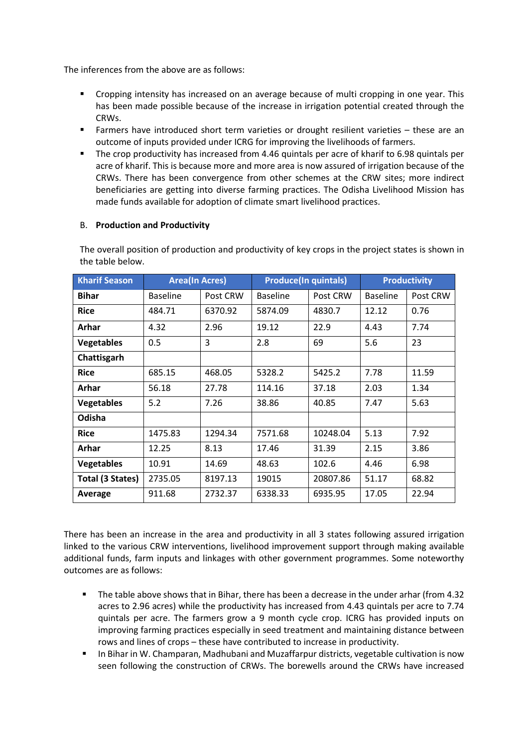The inferences from the above are as follows:

- Cropping intensity has increased on an average because of multi cropping in one year. This has been made possible because of the increase in irrigation potential created through the CRWs.
- Farmers have introduced short term varieties or drought resilient varieties these are an outcome of inputs provided under ICRG for improving the livelihoods of farmers.
- The crop productivity has increased from 4.46 quintals per acre of kharif to 6.98 quintals per acre of kharif. This is because more and more area is now assured of irrigation because of the CRWs. There has been convergence from other schemes at the CRW sites; more indirect beneficiaries are getting into diverse farming practices. The Odisha Livelihood Mission has made funds available for adoption of climate smart livelihood practices.

#### B. **Production and Productivity**

The overall position of production and productivity of key crops in the project states is shown in the table below.

| <b>Kharif Season</b> | <b>Area(In Acres)</b> |          | <b>Produce(In quintals)</b> |          | <b>Productivity</b> |          |  |
|----------------------|-----------------------|----------|-----------------------------|----------|---------------------|----------|--|
| <b>Bihar</b>         | <b>Baseline</b>       | Post CRW | <b>Baseline</b>             | Post CRW | <b>Baseline</b>     | Post CRW |  |
| <b>Rice</b>          | 484.71                | 6370.92  | 5874.09                     | 4830.7   | 12.12               | 0.76     |  |
| Arhar                | 4.32                  | 2.96     | 19.12                       | 22.9     | 4.43                | 7.74     |  |
| <b>Vegetables</b>    | 0.5                   | 3        | 2.8                         | 69       | 5.6                 | 23       |  |
| Chattisgarh          |                       |          |                             |          |                     |          |  |
| <b>Rice</b>          | 685.15                | 468.05   | 5328.2                      | 5425.2   | 7.78                | 11.59    |  |
| Arhar                | 56.18                 | 27.78    | 114.16                      | 37.18    | 2.03                | 1.34     |  |
| <b>Vegetables</b>    | 5.2                   | 7.26     | 38.86                       | 40.85    | 7.47                | 5.63     |  |
| Odisha               |                       |          |                             |          |                     |          |  |
| <b>Rice</b>          | 1475.83               | 1294.34  | 7571.68                     | 10248.04 | 5.13                | 7.92     |  |
| Arhar                | 12.25                 | 8.13     | 17.46                       | 31.39    | 2.15                | 3.86     |  |
| <b>Vegetables</b>    | 10.91                 | 14.69    | 48.63                       | 102.6    | 4.46                | 6.98     |  |
| Total (3 States)     | 2735.05               | 8197.13  | 19015                       | 20807.86 | 51.17               | 68.82    |  |
| Average              | 911.68                | 2732.37  | 6338.33                     | 6935.95  | 17.05               | 22.94    |  |

There has been an increase in the area and productivity in all 3 states following assured irrigation linked to the various CRW interventions, livelihood improvement support through making available additional funds, farm inputs and linkages with other government programmes. Some noteworthy outcomes are as follows:

- The table above shows that in Bihar, there has been a decrease in the under arhar (from 4.32 acres to 2.96 acres) while the productivity has increased from 4.43 quintals per acre to 7.74 quintals per acre. The farmers grow a 9 month cycle crop. ICRG has provided inputs on improving farming practices especially in seed treatment and maintaining distance between rows and lines of crops – these have contributed to increase in productivity.
- In Bihar in W. Champaran, Madhubani and Muzaffarpur districts, vegetable cultivation is now seen following the construction of CRWs. The borewells around the CRWs have increased